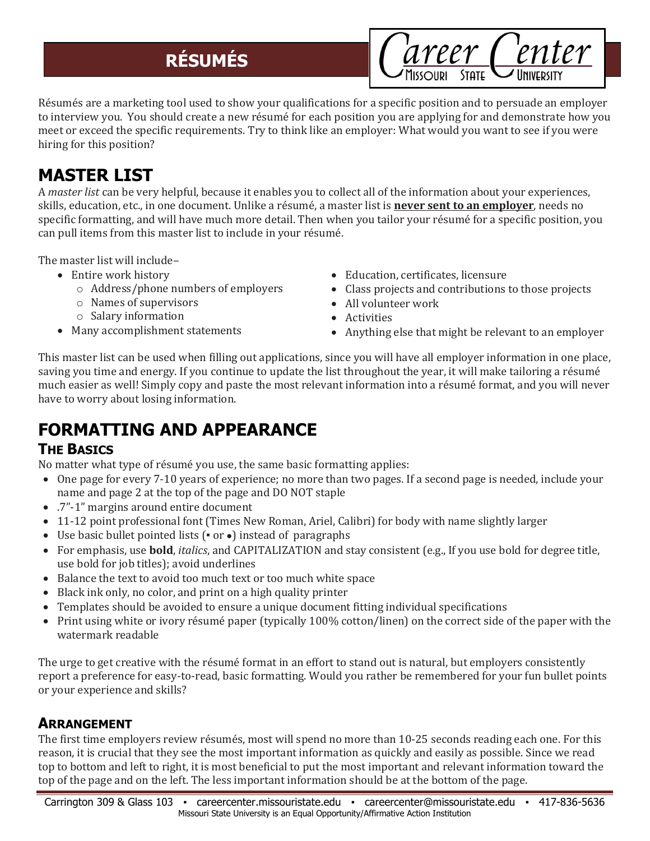# **RÉSUMÉS**

areer Center

Résumés are a marketing tool used to show your qualifications for a specific position and to persuade an employer to interview you. You should create a new résumé for each position you are applying for and demonstrate how you meet or exceed the specific requirements. Try to think like an employer: What would you want to see if you were hiring for this position?

# **MASTER LIST**

A *master list* can be very helpful, because it enables you to collect all of the information about your experiences, skills, education, etc., in one document. Unlike a résumé, a master list is **never sent to an employer**, needs no specific formatting, and will have much more detail. Then when you tailor your résumé for a specific position, you can pull items from this master list to include in your résumé.

The master list will include–

- Entire work history
	- o Address/phone numbers of employers
	- o Names of supervisors
	- o Salary information
- Many accomplishment statements
- Education, certificates, licensure
- Class projects and contributions to those projects
- All volunteer work
- Activities
- Anything else that might be relevant to an employer

This master list can be used when filling out applications, since you will have all employer information in one place, saving you time and energy. If you continue to update the list throughout the year, it will make tailoring a résumé much easier as well! Simply copy and paste the most relevant information into a résumé format, and you will never have to worry about losing information.

# **FORMATTING AND APPEARANCE**

#### **THE BASICS**

No matter what type of résumé you use, the same basic formatting applies:

- One page for every 7-10 years of experience; no more than two pages. If a second page is needed, include your name and page 2 at the top of the page and DO NOT staple
- .7"-1" margins around entire document
- 11-12 point professional font (Times New Roman, Ariel, Calibri) for body with name slightly larger
- Use basic bullet pointed lists (▪ or ●) instead of paragraphs
- For emphasis, use **bold**, *italics*, and CAPITALIZATION and stay consistent (e.g., If you use bold for degree title, use bold for job titles); avoid underlines
- Balance the text to avoid too much text or too much white space
- Black ink only, no color, and print on a high quality printer
- Templates should be avoided to ensure a unique document fitting individual specifications
- Print using white or ivory résumé paper (typically 100% cotton/linen) on the correct side of the paper with the watermark readable

The urge to get creative with the résumé format in an effort to stand out is natural, but employers consistently report a preference for easy-to-read, basic formatting. Would you rather be remembered for your fun bullet points or your experience and skills?

### **ARRANGEMENT**

The first time employers review résumés, most will spend no more than 10-25 seconds reading each one. For this reason, it is crucial that they see the most important information as quickly and easily as possible. Since we read top to bottom and left to right, it is most beneficial to put the most important and relevant information toward the top of the page and on the left. The less important information should be at the bottom of the page.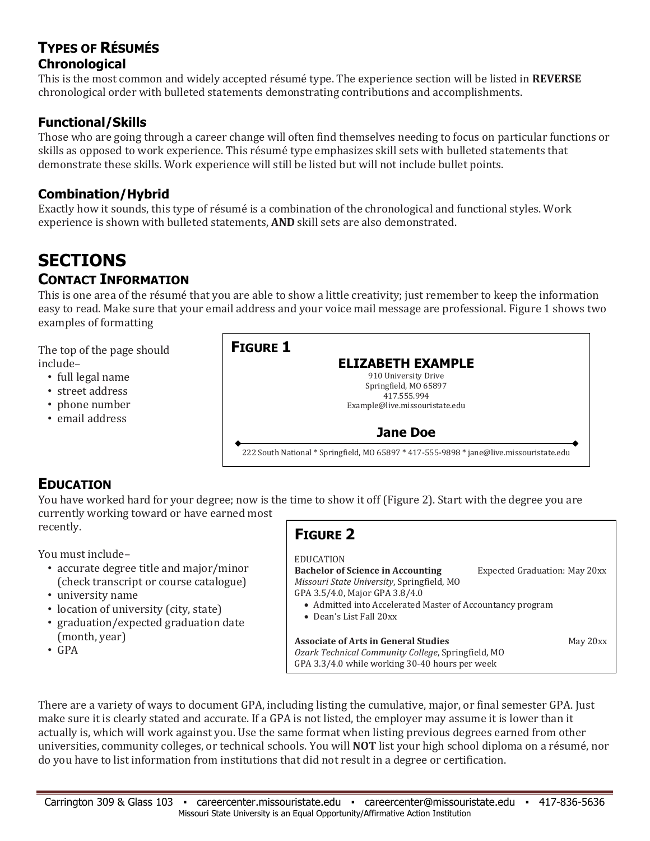#### **TYPES OF RÉSUMÉS Chronological**

This is the most common and widely accepted résumé type. The experience section will be listed in **REVERSE** chronological order with bulleted statements demonstrating contributions and accomplishments.

#### **Functional/Skills**

Those who are going through a career change will often find themselves needing to focus on particular functions or skills as opposed to work experience. This résumé type emphasizes skill sets with bulleted statements that demonstrate these skills. Work experience will still be listed but will not include bullet points.

#### **Combination/Hybrid**

Exactly how it sounds, this type of résumé is a combination of the chronological and functional styles. Work experience is shown with bulleted statements, **AND** skill sets are also demonstrated.

### **SECTIONS CONTACT INFORMATION**

This is one area of the résumé that you are able to show a little creativity; just remember to keep the information easy to read. Make sure that your email address and your voice mail message are professional. Figure 1 shows two examples of formatting

The top of the page should include–

- full legal name
- street address
- phone number
- email address

#### **FIGURE 1 ELIZABETH EXAMPLE** 910 University Drive Springfield, MO 65897 417.555.994 Example@live.missouristate.edu **Jane Doe** 222 South National \* Springfield, MO 65897 \* 417-555-9898 \* jane@live.missouristate.edu

### **EDUCATION**

You have worked hard for your degree; now is the time to show it off (Figure 2). Start with the degree you are currently working toward or have earned most recently.

You must include–

- accurate degree title and major/minor (check transcript or course catalogue)
- university name
- location of university (city, state)
- graduation/expected graduation date (month, year)
- GPA

## **FIGURE 2**

#### EDUCATION

**Bachelor of Science in Accounting** Expected Graduation: May 20xx *Missouri State University*, Springfield, MO GPA 3.5/4.0, Major GPA 3.8/4.0 Admitted into Accelerated Master of Accountancy program Dean's List Fall 20xx

**Associate of Arts in General Studies** May 20xx *Ozark Technical Community College*, Springfield, MO GPA 3.3/4.0 while working 30-40 hours per week

There are a variety of ways to document GPA, including listing the cumulative, major, or final semester GPA. Just make sure it is clearly stated and accurate. If a GPA is not listed, the employer may assume it is lower than it actually is, which will work against you. Use the same format when listing previous degrees earned from other universities, community colleges, or technical schools. You will **NOT** list your high school diploma on a résumé, nor do you have to list information from institutions that did not result in a degree or certification.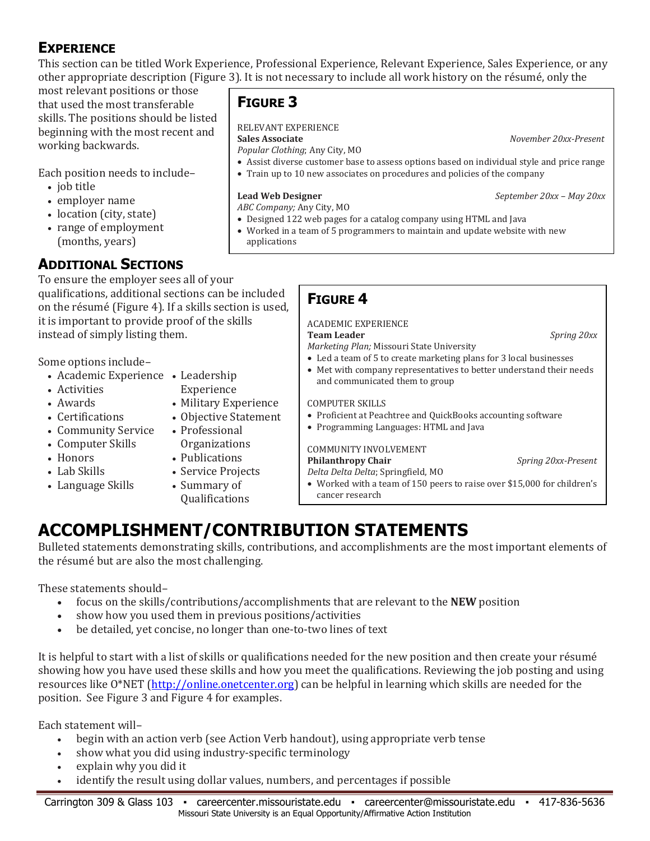### **EXPERIENCE**

This section can be titled Work Experience, Professional Experience, Relevant Experience, Sales Experience, or any other appropriate description (Figure 3). It is not necessary to include all work history on the résumé, only the

most relevant positions or those that used the most transferable skills. The positions should be listed beginning with the most recent and working backwards.

Each position needs to include–

- job title
- employer name
- location (city, state)
- range of employment (months, years)

### **ADDITIONAL SECTIONS**

To ensure the employer sees all of your qualifications, additional sections can be included on the résumé (Figure 4). If a skills section is used, it is important to provide proof of the skills instead of simply listing them.

Some options include–

- Academic Experience Leadership
- Activities
- Awards
- Certifications
- Community Service
- Computer Skills
- Honors Lab Skills
- Service Projects
- Language Skills • Summary of
	- Qualifications

Experience

• Professional Organizations • Publications

• Military Experience • Objective Statement

### **FIGURE 3**

#### RELEVANT EXPERIENCE

*Popular Clothing*; Any City, MO

**Sales Associate** *November 20xx-Present*

- Assist diverse customer base to assess options based on individual style and price range
- Train up to 10 new associates on procedures and policies of the company

**Lead Web Designer** *September 20xx – May 20xx* 

- *ABC Company;* Any City, MO
- Designed 122 web pages for a catalog company using HTML and Java
- Worked in a team of 5 programmers to maintain and update website with new applications

### **FIGURE 4**

#### ACADEMIC EXPERIENCE

**Team Leader** *Spring 20xx*

*Marketing Plan;* Missouri State University

- Led a team of 5 to create marketing plans for 3 local businesses
- Met with company representatives to better understand their needs and communicated them to group

#### COMPUTER SKILLS

- Proficient at Peachtree and QuickBooks accounting software
- Programming Languages: HTML and Java

#### COMMUNITY INVOLVEMENT **Philanthropy Chair** *Spring 20xx-Present*

*Delta Delta Delta*; Springfield, MO Worked with a team of 150 peers to raise over \$15,000 for children's cancer research

# **ACCOMPLISHMENT/CONTRIBUTION STATEMENTS**

Bulleted statements demonstrating skills, contributions, and accomplishments are the most important elements of the résumé but are also the most challenging.

These statements should–

- focus on the skills/contributions/accomplishments that are relevant to the **NEW** position
- show how you used them in previous positions/activities
- be detailed, yet concise, no longer than one-to-two lines of text

It is helpful to start with a list of skills or qualifications needed for the new position and then create your résumé showing how you have used these skills and how you meet the qualifications. Reviewing the job posting and using resources like O\*NET [\(http://online.onetcenter.org\)](http://online.onetcenter.org/) can be helpful in learning which skills are needed for the position. See Figure 3 and Figure 4 for examples.

Each statement will–

- begin with an action verb (see Action Verb handout), using appropriate verb tense
- show what you did using industry-specific terminology
- explain why you did it
- identify the result using dollar values, numbers, and percentages if possible